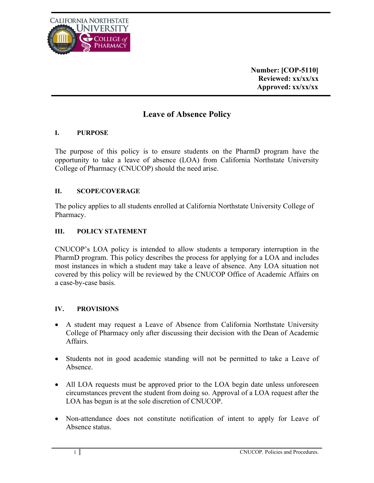

**Number: [COP-5110] Reviewed: xx/xx/xx Approved: xx/xx/xx**

# **Leave of Absence Policy**

## **I. PURPOSE**

The purpose of this policy is to ensure students on the PharmD program have the opportunity to take a leave of absence (LOA) from California Northstate University College of Pharmacy (CNUCOP) should the need arise.

### **II. SCOPE/COVERAGE**

The policy applies to all students enrolled at California Northstate University College of Pharmacy.

### **III. POLICY STATEMENT**

CNUCOP's LOA policy is intended to allow students a temporary interruption in the PharmD program. This policy describes the process for applying for a LOA and includes most instances in which a student may take a leave of absence. Any LOA situation not covered by this policy will be reviewed by the CNUCOP Office of Academic Affairs on a case-by-case basis.

#### **IV. PROVISIONS**

- A student may request a Leave of Absence from California Northstate University College of Pharmacy only after discussing their decision with the Dean of Academic Affairs.
- Students not in good academic standing will not be permitted to take a Leave of Absence.
- All LOA requests must be approved prior to the LOA begin date unless unforeseen circumstances prevent the student from doing so. Approval of a LOA request after the LOA has begun is at the sole discretion of CNUCOP.
- Non-attendance does not constitute notification of intent to apply for Leave of Absence status.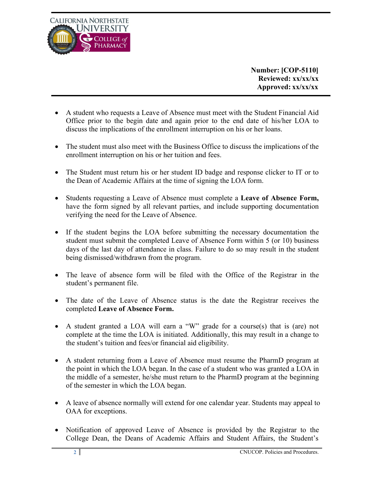

**Number: [COP-5110] Reviewed: xx/xx/xx Approved: xx/xx/xx**

- A student who requests a Leave of Absence must meet with the Student Financial Aid Office prior to the begin date and again prior to the end date of his/her LOA to discuss the implications of the enrollment interruption on his or her loans.
- The student must also meet with the Business Office to discuss the implications of the enrollment interruption on his or her tuition and fees.
- The Student must return his or her student ID badge and response clicker to IT or to the Dean of Academic Affairs at the time of signing the LOA form.
- Students requesting a Leave of Absence must complete a **Leave of Absence Form,**  have the form signed by all relevant parties, and include supporting documentation verifying the need for the Leave of Absence.
- If the student begins the LOA before submitting the necessary documentation the student must submit the completed Leave of Absence Form within 5 (or 10) business days of the last day of attendance in class. Failure to do so may result in the student being dismissed/withdrawn from the program.
- The leave of absence form will be filed with the Office of the Registrar in the student's permanent file.
- The date of the Leave of Absence status is the date the Registrar receives the completed **Leave of Absence Form.**
- A student granted a LOA will earn a "W" grade for a course(s) that is (are) not complete at the time the LOA is initiated. Additionally, this may result in a change to the student's tuition and fees/or financial aid eligibility.
- A student returning from a Leave of Absence must resume the PharmD program at the point in which the LOA began. In the case of a student who was granted a LOA in the middle of a semester, he/she must return to the PharmD program at the beginning of the semester in which the LOA began.
- A leave of absence normally will extend for one calendar year. Students may appeal to OAA for exceptions.
- Notification of approved Leave of Absence is provided by the Registrar to the College Dean, the Deans of Academic Affairs and Student Affairs, the Student's